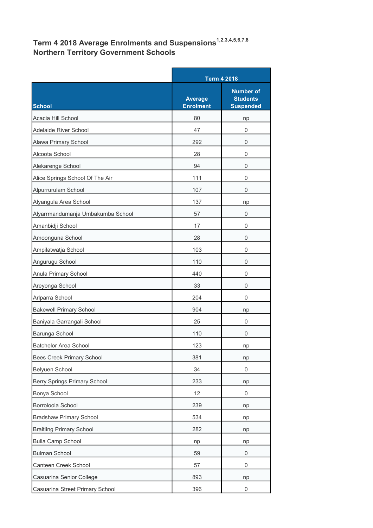## Term 4 2018 Average Enrolments and Suspensions $^{\rm 1,2,3,4,5,6,7,8}$ Northern Territory Government Schools

|                                     |                                    | <b>Term 4 2018</b>                                      |  |
|-------------------------------------|------------------------------------|---------------------------------------------------------|--|
| <b>School</b>                       | <b>Average</b><br><b>Enrolment</b> | <b>Number of</b><br><b>Students</b><br><b>Suspended</b> |  |
| Acacia Hill School                  | 80                                 | np                                                      |  |
| Adelaide River School               | 47                                 | 0                                                       |  |
| Alawa Primary School                | 292                                | 0                                                       |  |
| Alcoota School                      | 28                                 | 0                                                       |  |
| Alekarenge School                   | 94                                 | 0                                                       |  |
| Alice Springs School Of The Air     | 111                                | 0                                                       |  |
| Alpurrurulam School                 | 107                                | 0                                                       |  |
| Alyangula Area School               | 137                                | np                                                      |  |
| Alyarrmandumanja Umbakumba School   | 57                                 | 0                                                       |  |
| Amanbidji School                    | 17                                 | 0                                                       |  |
| Amoonguna School                    | 28                                 | 0                                                       |  |
| Ampilatwatja School                 | 103                                | 0                                                       |  |
| Angurugu School                     | 110                                | 0                                                       |  |
| Anula Primary School                | 440                                | 0                                                       |  |
| Areyonga School                     | 33                                 | 0                                                       |  |
| Arlparra School                     | 204                                | 0                                                       |  |
| <b>Bakewell Primary School</b>      | 904                                | np                                                      |  |
| Baniyala Garrangali School          | 25                                 | 0                                                       |  |
| Barunga School                      | 110                                | 0                                                       |  |
| Batchelor Area School               | 123                                | np                                                      |  |
| Bees Creek Primary School           | 381                                | np                                                      |  |
| Belyuen School                      | 34                                 | 0                                                       |  |
| <b>Berry Springs Primary School</b> | 233                                | np                                                      |  |
| Bonya School                        | 12                                 | $\boldsymbol{0}$                                        |  |
| Borroloola School                   | 239                                | np                                                      |  |
| <b>Bradshaw Primary School</b>      | 534                                | np                                                      |  |
| <b>Braitling Primary School</b>     | 282                                | np                                                      |  |
| <b>Bulla Camp School</b>            | np                                 | np                                                      |  |
| <b>Bulman School</b>                | 59                                 | $\boldsymbol{0}$                                        |  |
| Canteen Creek School                | 57                                 | 0                                                       |  |
| Casuarina Senior College            | 893                                | np                                                      |  |
| Casuarina Street Primary School     | 396                                | 0                                                       |  |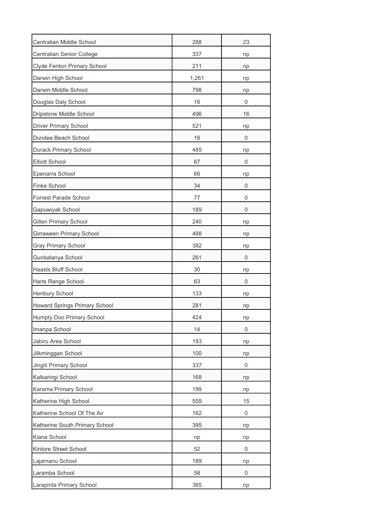| Centralian Middle School         | 288   | 23          |
|----------------------------------|-------|-------------|
| Centralian Senior College        | 337   | np          |
| Clyde Fenton Primary School      | 211   | np          |
| Darwin High School               | 1,261 | np          |
| Darwin Middle School             | 798   | np          |
| Douglas Daly School              | 16    | 0           |
| Dripstone Middle School          | 496   | 16          |
| <b>Driver Primary School</b>     | 521   | np          |
| Dundee Beach School              | 16    | 0           |
| Durack Primary School            | 485   | np          |
| <b>Elliott School</b>            | 67    | 0           |
| Epenarra School                  | 66    | np          |
| Finke School                     | 34    | 0           |
| Forrest Parade School            | 77    | 0           |
| Gapuwiyak School                 | 189   | 0           |
| Gillen Primary School            | 240   | np          |
| Girraween Primary School         | 498   | np          |
| <b>Gray Primary School</b>       | 382   | np          |
| Gunbalanya School                | 261   | 0           |
| Haasts Bluff School              | 30    | np          |
| Harts Range School               | 63    | 0           |
| Henbury School                   | 133   | np          |
| Howard Springs Primary School    | 281   | np          |
| <b>Humpty Doo Primary School</b> | 424   | np          |
| Imanpa School                    | 14    | 0           |
| Jabiru Area School               | 193   | np          |
| Jilkminggan School               | 100   | np          |
| Jingili Primary School           | 337   | 0           |
| Kalkaringi School                | 168   | np          |
| Karama Primary School            | 199   | np          |
| Katherine High School            | 559   | 15          |
| Katherine School Of The Air      | 162   | 0           |
| Katherine South Primary School   | 395   | np          |
| Kiana School                     | np    | np          |
| Kintore Street School            | 52    | $\mathbf 0$ |
| Lajamanu School                  | 189   | np          |
| Laramba School                   | 58    | 0           |
| Larapinta Primary School         | 365   | np          |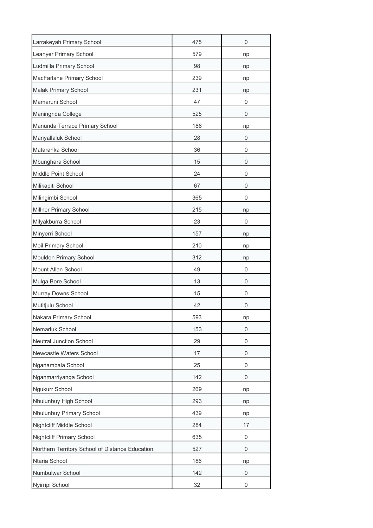| Larrakeyah Primary School                       | 475 | 0  |
|-------------------------------------------------|-----|----|
| Leanyer Primary School                          | 579 | np |
| Ludmilla Primary School                         | 98  | np |
| MacFarlane Primary School                       | 239 | np |
| Malak Primary School                            | 231 | np |
| Mamaruni School                                 | 47  | 0  |
| Maningrida College                              | 525 | 0  |
| Manunda Terrace Primary School                  | 186 | np |
| Manyallaluk School                              | 28  | 0  |
| Mataranka School                                | 36  | 0  |
| Mbunghara School                                | 15  | 0  |
| Middle Point School                             | 24  | 0  |
| Milikapiti School                               | 67  | 0  |
| Milingimbi School                               | 365 | 0  |
| Millner Primary School                          | 215 | np |
| Milyakburra School                              | 23  | 0  |
| Minyerri School                                 | 157 | np |
| Moil Primary School                             | 210 | np |
| Moulden Primary School                          | 312 | np |
| Mount Allan School                              | 49  | 0  |
| Mulga Bore School                               | 13  | 0  |
| Murray Downs School                             | 15  | 0  |
| Mutitjulu School                                | 42  | 0  |
| Nakara Primary School                           | 593 | np |
| Nemarluk School                                 | 153 | 0  |
| Neutral Junction School                         | 29  | 0  |
| Newcastle Waters School                         | 17  | 0  |
| Nganambala School                               | 25  | 0  |
| Nganmarriyanga School                           | 142 | 0  |
| Ngukurr School                                  | 269 | np |
| Nhulunbuy High School                           | 293 | np |
| Nhulunbuy Primary School                        | 439 | np |
| Nightcliff Middle School                        | 284 | 17 |
| <b>Nightcliff Primary School</b>                | 635 | 0  |
| Northern Territory School of Distance Education | 527 | 0  |
| Ntaria School                                   | 186 | np |
| Numbulwar School                                | 142 | 0  |
| Nyirripi School                                 | 32  | 0  |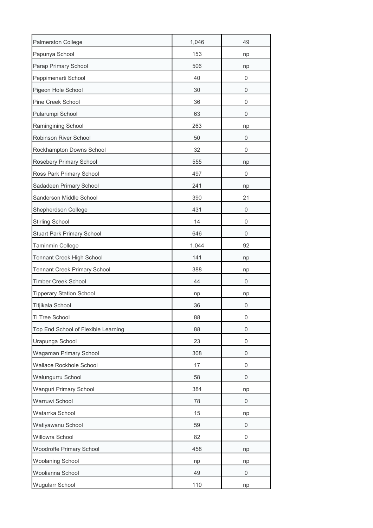| Palmerston College                  | 1,046 | 49          |
|-------------------------------------|-------|-------------|
| Papunya School                      | 153   | np          |
| Parap Primary School                | 506   | np          |
| Peppimenarti School                 | 40    | 0           |
| Pigeon Hole School                  | 30    | 0           |
| Pine Creek School                   | 36    | 0           |
| Pularumpi School                    | 63    | 0           |
| Ramingining School                  | 263   | np          |
| Robinson River School               | 50    | 0           |
| Rockhampton Downs School            | 32    | 0           |
| Rosebery Primary School             | 555   | np          |
| Ross Park Primary School            | 497   | 0           |
| Sadadeen Primary School             | 241   | np          |
| Sanderson Middle School             | 390   | 21          |
| Shepherdson College                 | 431   | 0           |
| <b>Stirling School</b>              | 14    | 0           |
| <b>Stuart Park Primary School</b>   | 646   | 0           |
| Taminmin College                    | 1,044 | 92          |
| <b>Tennant Creek High School</b>    | 141   | np          |
| <b>Tennant Creek Primary School</b> | 388   | np          |
| <b>Timber Creek School</b>          | 44    | 0           |
| <b>Tipperary Station School</b>     | np    | np          |
| Titjikala School                    | 36    | 0           |
| Ti Tree School                      | 88    | 0           |
| Top End School of Flexible Learning | 88    | 0           |
| Urapunga School                     | 23    | 0           |
| Wagaman Primary School              | 308   | 0           |
| Wallace Rockhole School             | 17    | 0           |
| Walungurru School                   | 58    | 0           |
| Wanguri Primary School              | 384   | np          |
| Warruwi School                      | 78    | 0           |
| Watarrka School                     | 15    | np          |
| Watiyawanu School                   | 59    | $\mathbf 0$ |
| Willowra School                     | 82    | 0           |
| Woodroffe Primary School            | 458   | np          |
| Woolaning School                    | np    | np          |
| Woolianna School                    | 49    | 0           |
| <b>Wugularr School</b>              | 110   | np          |